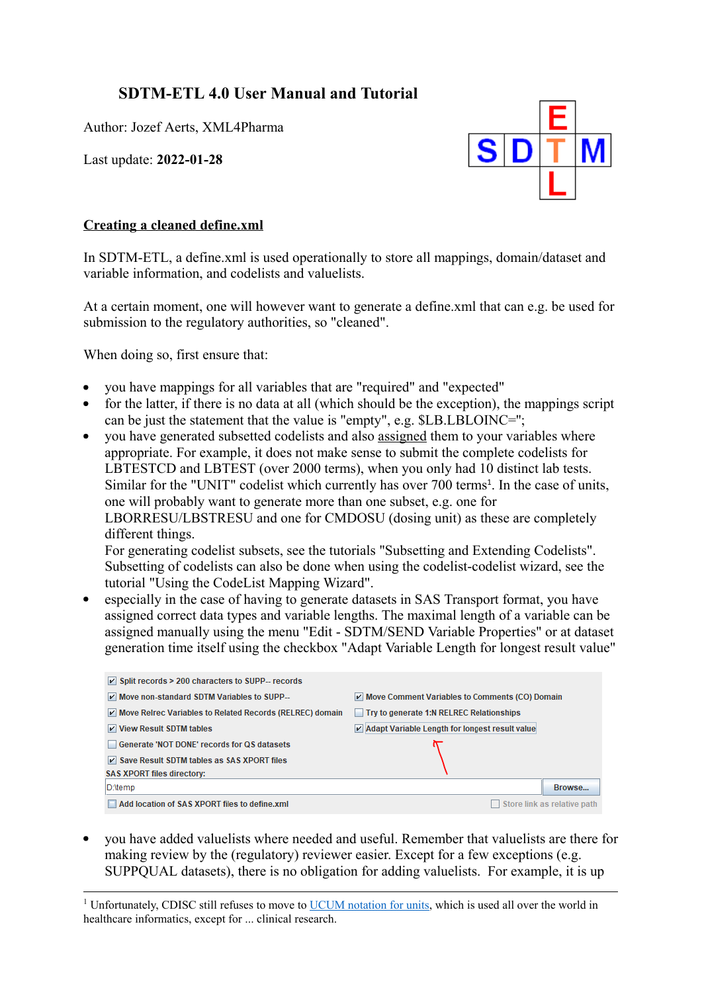## **SDTM-ETL 4.0 User Manual and Tutorial**

Author: Jozef Aerts, XML4Pharma

Last update: **2022-01-28**

<span id="page-0-1"></span>

## **Creating a cleaned define.xml**

In SDTM-ETL, a define.xml is used operationally to store all mappings, domain/dataset and variable information, and codelists and valuelists.

At a certain moment, one will however want to generate a define.xml that can e.g. be used for submission to the regulatory authorities, so "cleaned".

When doing so, first ensure that:

- you have mappings for all variables that are "required" and "expected"
- for the latter, if there is no data at all (which should be the exception), the mappings script  $\bullet$ can be just the statement that the value is "empty", e.g. \$LB.LBLOINC='';
- you have generated subsetted codelists and also assigned them to your variables where appropriate. For example, it does not make sense to submit the complete codelists for LBTESTCD and LBTEST (over 2000 terms), when you only had 10 distinct lab tests. Similar for the "UNIT" codelist which currently has over 700 terms<sup>[1](#page-0-0)</sup>. In the case of units, one will probably want to generate more than one subset, e.g. one for LBORRESU/LBSTRESU and one for CMDOSU (dosing unit) as these are completely different things.

For generating codelist subsets, see the tutorials "Subsetting and Extending Codelists". Subsetting of codelists can also be done when using the codelist-codelist wizard, see the tutorial "Using the CodeList Mapping Wizard".

especially in the case of having to generate datasets in SAS Transport format, you have assigned correct data types and variable lengths. The maximal length of a variable can be assigned manually using the menu "Edit - SDTM/SEND Variable Properties" or at dataset generation time itself using the checkbox "Adapt Variable Length for longest result value"

| $\triangleright$ Split records > 200 characters to SUPP-- records |                                                |
|-------------------------------------------------------------------|------------------------------------------------|
| Move non-standard SDTM Variables to SUPP--                        | Move Comment Variables to Comments (CO) Domain |
| Move Relrec Variables to Related Records (RELREC) domain          | Try to generate 1:N RELREC Relationships       |
| V View Result SDTM tables                                         | Adapt Variable Length for longest result value |
| Generate 'NOT DONE' records for QS datasets                       |                                                |
| $\triangleright$ Save Result SDTM tables as SAS XPORT files       |                                                |
| <b>SAS XPORT files directory:</b>                                 |                                                |
| D:\temp                                                           | Browse                                         |
| Add location of SAS XPORT files to define.xml                     | Store link as relative path                    |

you have added valuelists where needed and useful. Remember that valuelists are there for making review by the (regulatory) reviewer easier. Except for a few exceptions (e.g. SUPPQUAL datasets), there is no obligation for adding valuelists. For example, it is up

<span id="page-0-0"></span><sup>&</sup>lt;sup>1</sup> [Unfortunately,](#page-0-1) CDISC still refuses to move to [UCUM](https://ucum.org/trac) [notation](https://ucum.org/trac) [for](https://ucum.org/trac) [units](https://ucum.org/trac), which is used all over the world in healthcare informatics, except for ... clinical research.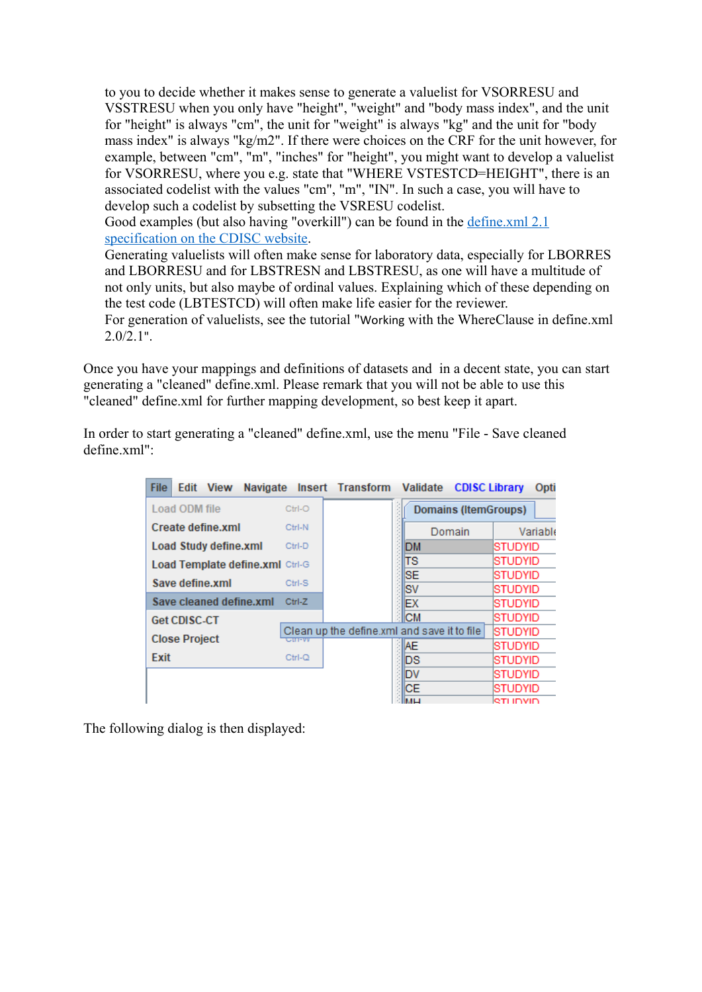to you to decide whether it makes sense to generate a valuelist for VSORRESU and VSSTRESU when you only have "height", "weight" and "body mass index", and the unit for "height" is always "cm", the unit for "weight" is always "kg" and the unit for "body mass index" is always "kg/m2". If there were choices on the CRF for the unit however, for example, between "cm", "m", "inches" for "height", you might want to develop a valuelist for VSORRESU, where you e.g. state that "WHERE VSTESTCD=HEIGHT", there is an associated codelist with the values "cm", "m", "IN". In such a case, you will have to develop such a codelist by subsetting the VSRESU codelist.

Good examples (but also having "overkill") can be found in the [define.xml](https://www.cdisc.org/standards/data-exchange/define-xml) 2.1 [specification](https://www.cdisc.org/standards/data-exchange/define-xml) on the [CDISC](https://www.cdisc.org/standards/data-exchange/define-xml) [website](https://www.cdisc.org/standards/data-exchange/define-xml).

Generating valuelists will often make sense for laboratory data, especially for LBORRES and LBORRESU and for LBSTRESN and LBSTRESU, as one will have a multitude of not only units, but also maybe of ordinal values. Explaining which of these depending on the test code (LBTESTCD) will often make life easier for the reviewer.

For generation of valuelists, see the tutorial "Working with the WhereClause in define.xml  $2.0/2.1$ ".

Once you have your mappings and definitions of datasets and in a decent state, you can start generating a "cleaned" define.xml. Please remark that you will not be able to use this "cleaned" define.xml for further mapping development, so best keep it apart.

In order to start generating a "cleaned" define.xml, use the menu "File - Save cleaned define.xml":

| <b>File</b> | <b>Edit</b>          | <b>View</b>                  | <b>Navigate</b>                 |               | Insert Transform                            | Validate          | <b>CDISC Library</b>        |                    | Opti     |
|-------------|----------------------|------------------------------|---------------------------------|---------------|---------------------------------------------|-------------------|-----------------------------|--------------------|----------|
|             | Load ODM file        |                              |                                 | Ctrl-O        |                                             |                   | <b>Domains (ItemGroups)</b> |                    |          |
|             |                      | Create define.xml            |                                 | Ctrl-N        |                                             |                   | Domain                      |                    | Variable |
|             |                      | <b>Load Study define.xml</b> |                                 | Ctrl-D        |                                             | DM                |                             | STUDYID            |          |
|             |                      |                              | Load Template define.xml Ctrl-G |               |                                             | lTS               |                             | STUDYID            |          |
|             |                      | Save define.xml              |                                 | Ctrl-S        |                                             | <b>ISE</b><br>lsv |                             | STUDYID<br>STUDYID |          |
|             |                      |                              | Save cleaned define.xml         | Ctrl-Z        |                                             | EХ                |                             | STUDYID            |          |
|             | <b>Get CDISC-CT</b>  |                              |                                 |               |                                             | <b>CM</b>         |                             | STUDYID            |          |
|             | <b>Close Project</b> |                              |                                 | ∪मा−ण्ण       | Clean up the define.xml and save it to file |                   |                             | ISTUDYID           |          |
|             |                      |                              |                                 |               |                                             | IAE               |                             | STUDYID            |          |
| Exit        |                      |                              |                                 | $Ctrl-\Omega$ |                                             | ΙDS               |                             | STUDYID            |          |
|             |                      |                              |                                 |               |                                             | ١d                |                             | STUDYID            |          |
|             |                      |                              |                                 |               |                                             | IСE               |                             | STUDYID            |          |
|             |                      |                              |                                 |               |                                             | <b>IMLI</b>       |                             | RTI INVIN          |          |

The following dialog is then displayed: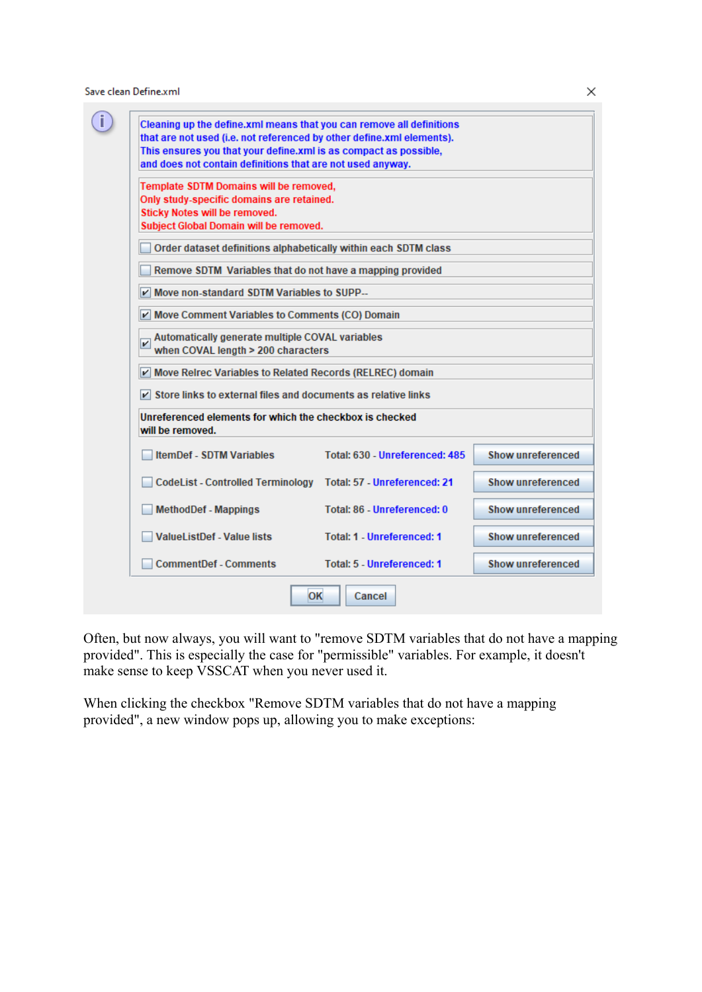Save clean Define.xml

| that are not used (i.e. not referenced by other define.xml elements).<br>This ensures you that your define.xml is as compact as possible, |                                     |                          |
|-------------------------------------------------------------------------------------------------------------------------------------------|-------------------------------------|--------------------------|
| and does not contain definitions that are not used anyway.                                                                                |                                     |                          |
| Template SDTM Domains will be removed,                                                                                                    |                                     |                          |
| Only study-specific domains are retained.<br>Sticky Notes will be removed.                                                                |                                     |                          |
| Subject Global Domain will be removed.                                                                                                    |                                     |                          |
| Order dataset definitions alphabetically within each SDTM class                                                                           |                                     |                          |
| Remove SDTM Variables that do not have a mapping provided                                                                                 |                                     |                          |
| Move non-standard SDTM Variables to SUPP--                                                                                                |                                     |                          |
| Move Comment Variables to Comments (CO) Domain                                                                                            |                                     |                          |
| Automatically generate multiple COVAL variables<br>v<br>when COVAL length > 200 characters                                                |                                     |                          |
| Move Reirec Variables to Related Records (RELREC) domain                                                                                  |                                     |                          |
| $\triangleright$ Store links to external files and documents as relative links                                                            |                                     |                          |
| Unreferenced elements for which the checkbox is checked<br>will be removed.                                                               |                                     |                          |
| <b>ItemDef - SDTM Variables</b>                                                                                                           | Total: 630 - Unreferenced: 485      | <b>Show unreferenced</b> |
| <b>CodeList - Controlled Terminology</b>                                                                                                  | <b>Total: 57 - Unreferenced: 21</b> | Show unreferenced        |
| <b>MethodDef - Mappings</b>                                                                                                               | <b>Total: 86 - Unreferenced: 0</b>  | <b>Show unreferenced</b> |
| <b>ValueListDef - Value lists</b>                                                                                                         | <b>Total: 1 - Unreferenced: 1</b>   | Show unreferenced        |
|                                                                                                                                           |                                     | Show unreferenced        |

Often, but now always, you will want to "remove SDTM variables that do not have a mapping provided". This is especially the case for "permissible" variables. For example, it doesn't make sense to keep VSSCAT when you never used it.

When clicking the checkbox "Remove SDTM variables that do not have a mapping provided", a new window pops up, allowing you to make exceptions:

 $\times$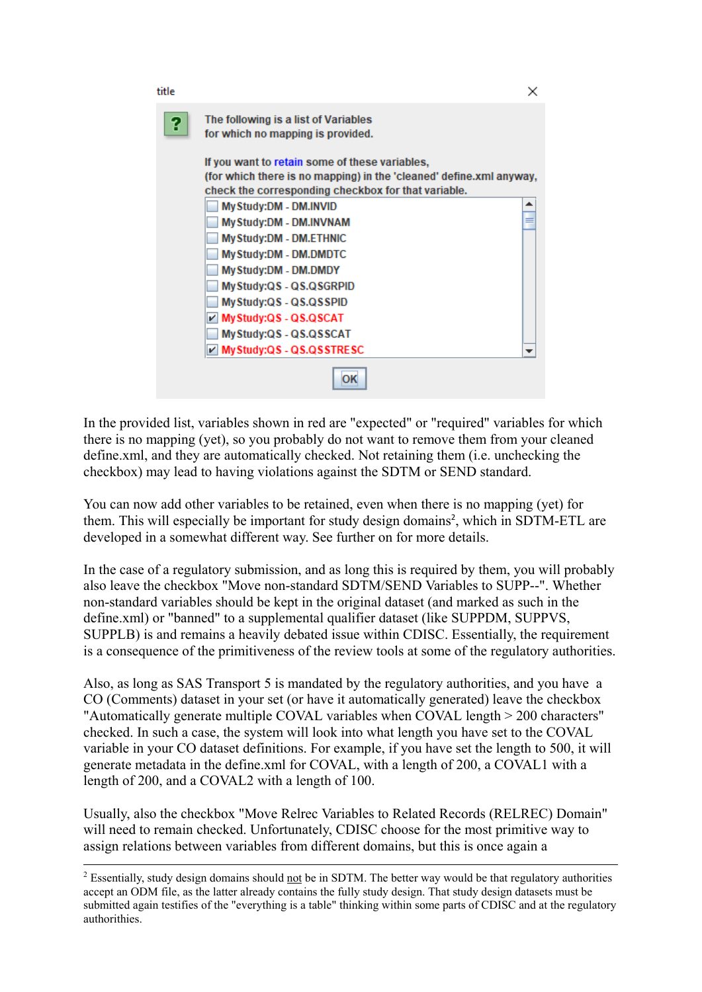

In the provided list, variables shown in red are "expected" or "required" variables for which there is no mapping (yet), so you probably do not want to remove them from your cleaned define.xml, and they are automatically checked. Not retaining them (i.e. unchecking the checkbox) may lead to having violations against the SDTM or SEND standard.

<span id="page-3-1"></span>You can now add other variables to be retained, even when there is no mapping (yet) for them. This will especially be important for study design domains<sup>[2](#page-3-0)</sup>, which in SDTM-ETL are developed in a somewhat different way. See further on for more details.

In the case of a regulatory submission, and as long this is required by them, you will probably also leave the checkbox "Move non-standard SDTM/SEND Variables to SUPP--". Whether non-standard variables should be kept in the original dataset (and marked as such in the define.xml) or "banned" to a supplemental qualifier dataset (like SUPPDM, SUPPVS, SUPPLB) is and remains a heavily debated issue within CDISC. Essentially, the requirement is a consequence of the primitiveness of the review tools at some of the regulatory authorities.

Also, as long as SAS Transport 5 is mandated by the regulatory authorities, and you have a CO (Comments) dataset in your set (or have it automatically generated) leave the checkbox "Automatically generate multiple COVAL variables when COVAL length > 200 characters" checked. In such a case, the system will look into what length you have set to the COVAL variable in your CO dataset definitions. For example, if you have set the length to 500, it will generate metadata in the define.xml for COVAL, with a length of 200, a COVAL1 with a length of 200, and a COVAL2 with a length of 100.

Usually, also the checkbox "Move Relrec Variables to Related Records (RELREC) Domain" will need to remain checked. Unfortunately, CDISC choose for the most primitive way to assign relations between variables from different domains, but this is once again a

<span id="page-3-0"></span><sup>&</sup>lt;sup>2</sup> Essentially, study design domains should not be in SDTM. The better way would be that regulatory authorities accept an ODM file, as the latter already contains the fully study design. That study design datasets must be submitted again testifies of the "everything is a table" thinking within some parts of CDISC and at the regulatory [authorithies.](#page-3-1)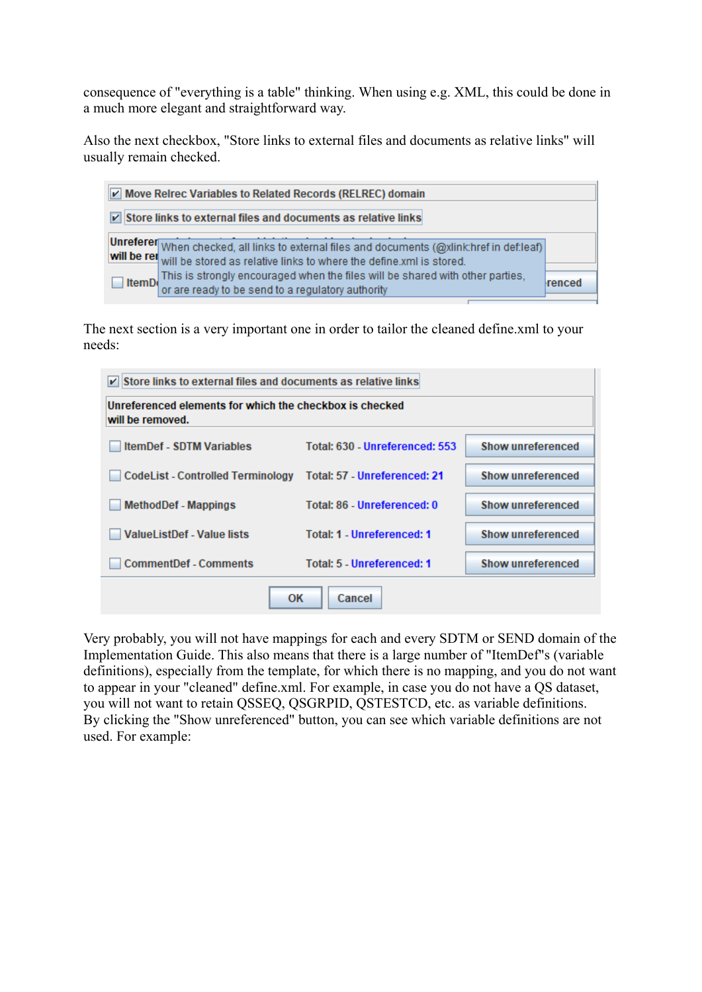consequence of "everything is a table" thinking. When using e.g. XML, this could be done in a much more elegant and straightforward way.

Also the next checkbox, "Store links to external files and documents as relative links" will usually remain checked.

| Move Reirec Variables to Related Records (RELREC) domain                                                                                                                                                                                                                                                                   |        |  |  |
|----------------------------------------------------------------------------------------------------------------------------------------------------------------------------------------------------------------------------------------------------------------------------------------------------------------------------|--------|--|--|
| ☑ Store links to external files and documents as relative links                                                                                                                                                                                                                                                            |        |  |  |
| Unreferer When checked, all links to external files and documents (@xlink:href in def:leaf)<br>will be rel will be stored as relative links to where the define xml is stored.<br>This is strongly encouraged when the files will be shared with other parties,<br>ItemD or are ready to be send to a regulatory authority | renced |  |  |

The next section is a very important one in order to tailor the cleaned define.xml to your needs:

| $\triangleright$ Store links to external files and documents as relative links         |                                   |                          |  |  |
|----------------------------------------------------------------------------------------|-----------------------------------|--------------------------|--|--|
| Unreferenced elements for which the checkbox is checked<br>will be removed.            |                                   |                          |  |  |
| <b>ItemDef - SDTM Variables</b>                                                        | Total: 630 - Unreferenced: 553    | Show unreferenced        |  |  |
| <b>CodeList - Controlled Terminology</b>                                               | Total: 57 - Unreferenced: 21      | Show unreferenced        |  |  |
| <b>MethodDef - Mappings</b>                                                            | Total: 86 - Unreferenced: 0       | <b>Show unreferenced</b> |  |  |
| <b>ValueListDef - Value lists</b>                                                      | <b>Total: 1 - Unreferenced: 1</b> | <b>Show unreferenced</b> |  |  |
| <b>Show unreferenced</b><br><b>CommentDef - Comments</b><br>Total: 5 - Unreferenced: 1 |                                   |                          |  |  |
| OK<br>Cancel                                                                           |                                   |                          |  |  |

Very probably, you will not have mappings for each and every SDTM or SEND domain of the Implementation Guide. This also means that there is a large number of "ItemDef"s (variable definitions), especially from the template, for which there is no mapping, and you do not want to appear in your "cleaned" define.xml. For example, in case you do not have a QS dataset, you will not want to retain QSSEQ, QSGRPID, QSTESTCD, etc. as variable definitions. By clicking the "Show unreferenced" button, you can see which variable definitions are not used. For example: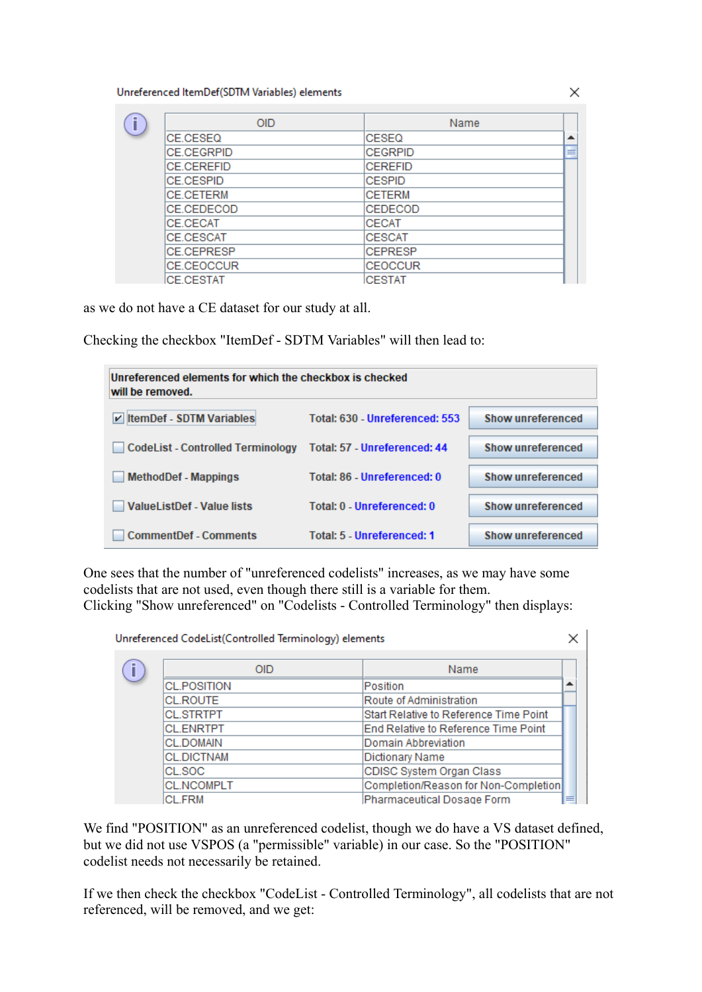Unreferenced ItemDef(SDTM Variables) elements

| <b>OID</b>        | Name           |   |
|-------------------|----------------|---|
| <b>CE.CESEQ</b>   | CESEQ          | ᆂ |
| <b>CE.CEGRPID</b> | <b>CEGRPID</b> | ≡ |
| <b>CE CEREFID</b> | <b>CEREFID</b> |   |
| <b>CE.CESPID</b>  | <b>CESPID</b>  |   |
| <b>CE.CETERM</b>  | <b>CETERM</b>  |   |
| CE.CEDECOD        | CEDECOD        |   |
| CE.CECAT          | <b>CECAT</b>   |   |
| <b>CE.CESCAT</b>  | <b>CESCAT</b>  |   |
| <b>CE.CEPRESP</b> | <b>CEPRESP</b> |   |
| <b>CE.CEOCCUR</b> | <b>CEOCCUR</b> |   |
| <b>CF CESTAT</b>  | <b>CESTAT</b>  |   |

as we do not have a CE dataset for our study at all.

Checking the checkbox "ItemDef - SDTM Variables" will then lead to:

| Unreferenced elements for which the checkbox is checked<br>will be removed. |                                   |                          |
|-----------------------------------------------------------------------------|-----------------------------------|--------------------------|
| <b>ItemDef - SDTM Variables</b><br>$\vert \nu \vert$                        | Total: 630 - Unreferenced: 553    | Show unreferenced        |
| <b>CodeList - Controlled Terminology</b>                                    | Total: 57 - Unreferenced: 44      | <b>Show unreferenced</b> |
| <b>MethodDef - Mappings</b>                                                 | Total: 86 - Unreferenced: 0       | <b>Show unreferenced</b> |
| ValueListDef - Value lists                                                  | Total: 0 - Unreferenced: 0        | <b>Show unreferenced</b> |
| <b>CommentDef - Comments</b>                                                | <b>Total: 5 - Unreferenced: 1</b> | <b>Show unreferenced</b> |

One sees that the number of "unreferenced codelists" increases, as we may have some codelists that are not used, even though there still is a variable for them. Clicking "Show unreferenced" on "Codelists - Controlled Terminology" then displays:

 $\times$  | Unreferenced CodeList(Controlled Terminology) elements

| 0ID.                                    | Name                                   |   |
|-----------------------------------------|----------------------------------------|---|
| CL.POSITION                             | Position                               |   |
| <b>CL.ROUTE</b>                         | Route of Administration                |   |
| <b>CL.STRTPT</b>                        | Start Relative to Reference Time Point |   |
| <b>CLENRTPT</b>                         | End Relative to Reference Time Point   |   |
| <b>CL.DOMAIN</b><br>Domain Abbreviation |                                        |   |
| <b>CL.DICTNAM</b><br>Dictionary Name    |                                        |   |
| CL SOC                                  | CDISC System Organ Class               |   |
| <b>CL.NCOMPLT</b>                       | Completion/Reason for Non-Completion   |   |
| <b>CL.FRM</b>                           | Pharmaceutical Dosage Form             | ≡ |

We find "POSITION" as an unreferenced codelist, though we do have a VS dataset defined, but we did not use VSPOS (a "permissible" variable) in our case. So the "POSITION" codelist needs not necessarily be retained.

If we then check the checkbox "CodeList - Controlled Terminology", all codelists that are not referenced, will be removed, and we get:

 $\times$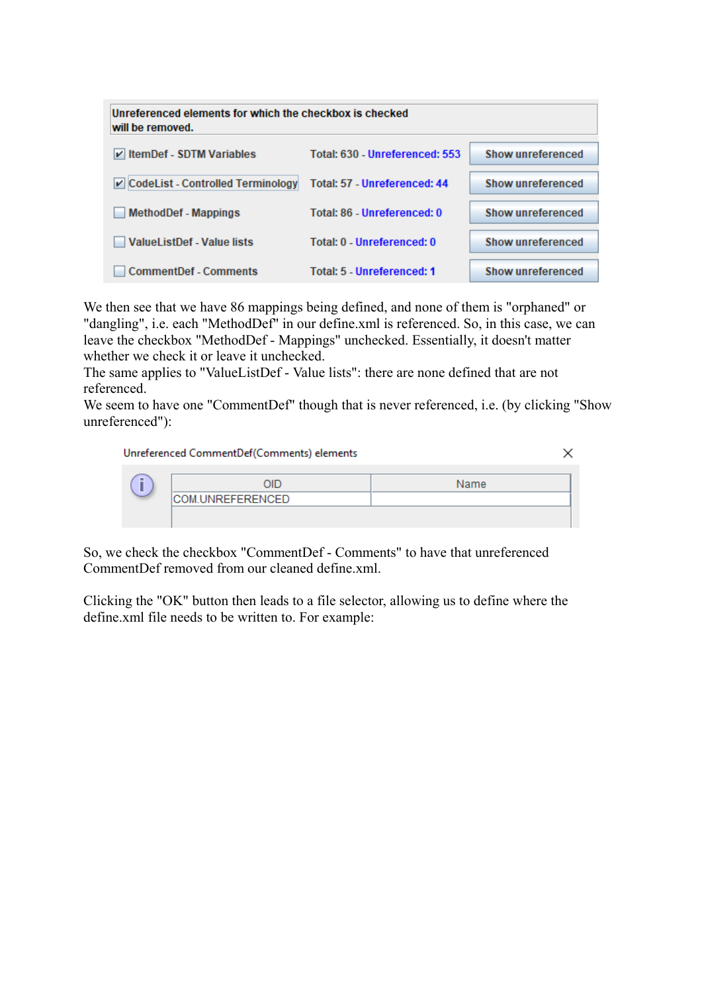| Unreferenced elements for which the checkbox is checked<br>will be removed. |                                |                          |
|-----------------------------------------------------------------------------|--------------------------------|--------------------------|
| V ItemDef - SDTM Variables                                                  | Total: 630 - Unreferenced: 553 | Show unreferenced        |
| ☑ CodeList - Controlled Terminology                                         | Total: 57 - Unreferenced: 44   | Show unreferenced        |
| <b>MethodDef - Mappings</b>                                                 | Total: 86 - Unreferenced: 0    | Show unreferenced        |
| <b>ValueListDef - Value lists</b>                                           | Total: 0 - Unreferenced: 0     | Show unreferenced        |
| <b>CommentDef - Comments</b>                                                | Total: 5 - Unreferenced: 1     | <b>Show unreferenced</b> |

We then see that we have 86 mappings being defined, and none of them is "orphaned" or "dangling", i.e. each "MethodDef" in our define.xml is referenced. So, in this case, we can leave the checkbox "MethodDef - Mappings" unchecked. Essentially, it doesn't matter whether we check it or leave it unchecked.

The same applies to "ValueListDef - Value lists": there are none defined that are not referenced.

We seem to have one "CommentDef" though that is never referenced, i.e. (by clicking "Show unreferenced"):

×

Unreferenced CommentDef(Comments) elements

| ۰ |                  | Name |
|---|------------------|------|
|   | COM.UNREFERENCED |      |
|   |                  |      |

So, we check the checkbox "CommentDef - Comments" to have that unreferenced CommentDef removed from our cleaned define.xml.

Clicking the "OK" button then leads to a file selector, allowing us to define where the define.xml file needs to be written to. For example: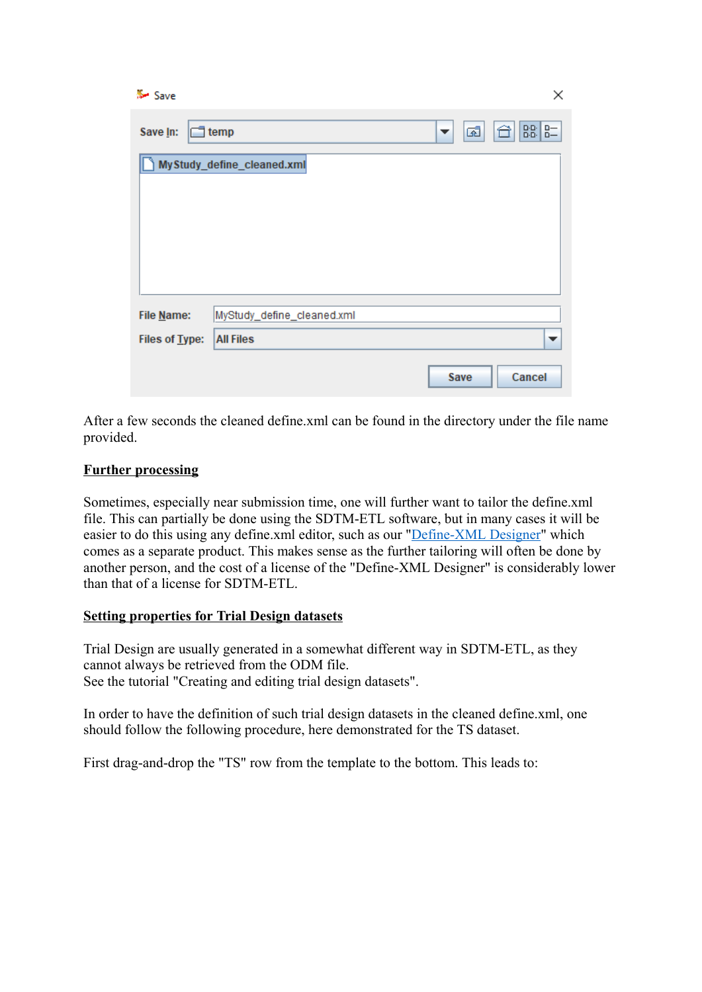| Save           |                            |         | ×            |
|----------------|----------------------------|---------|--------------|
| Save In:       | $\Box$ temp                | ශ්<br>▼ | $B - 8$<br>⇧ |
|                | MyStudy_define_cleaned.xml |         |              |
| File Name:     | MyStudy_define_cleaned.xml |         |              |
| Files of Type: | <b>All Files</b>           |         | ▼            |
|                |                            | Save    | Cancel       |

After a few seconds the cleaned define.xml can be found in the directory under the file name provided.

## **Further processing**

Sometimes, especially near submission time, one will further want to tailor the define.xml file. This can partially be done using the SDTM-ETL software, but in many cases it will be easier to do this using any define.xml editor, such as our "[Define-XML](http://www.xml4pharma.com/CDISC_Products/Define-XML_Designer.html) Designer" which comes as a separate product. This makes sense as the further tailoring will often be done by another person, and the cost of a license of the "Define-XML Designer" is considerably lower than that of a license for SDTM-ETL.

## **Setting properties for Trial Design datasets**

Trial Design are usually generated in a somewhat different way in SDTM-ETL, as they cannot always be retrieved from the ODM file. See the tutorial "Creating and editing trial design datasets".

In order to have the definition of such trial design datasets in the cleaned define.xml, one should follow the following procedure, here demonstrated for the TS dataset.

First drag-and-drop the "TS" row from the template to the bottom. This leads to: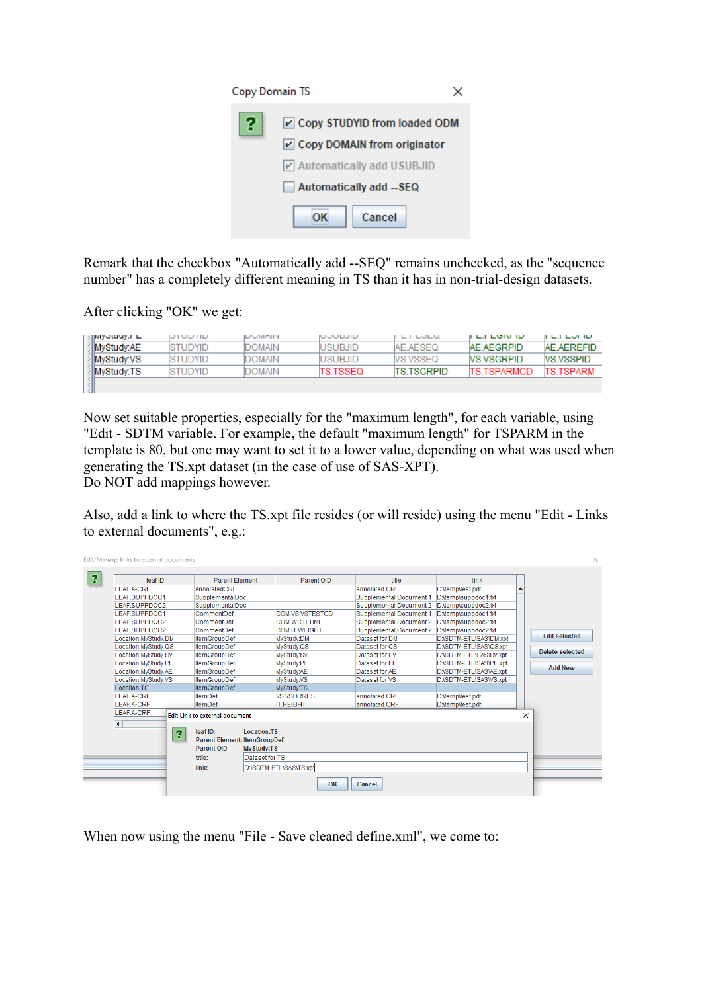| <b>Copy Domain TS</b> |                               |
|-----------------------|-------------------------------|
| 2                     | Copy STUDYID from loaded ODM  |
|                       | ☑ Copy DOMAIN from originator |
|                       | v Automatically add USUBJID   |
|                       | Automatically add --SEQ       |
|                       | Cancel                        |

Remark that the checkbox "Automatically add --SEQ" remains unchecked, as the "sequence number" has a completely different meaning in TS than it has in non-trial-design datasets.

After clicking "OK" we get:

| ுறியுகையின் ப | <b>NIUDIID</b>  | <b>ILANTARY</b> | <b>NUULLUILL</b> | <b>ILILULU</b>     | שו גושם בש          | <b>ILILUID</b>    |
|---------------|-----------------|-----------------|------------------|--------------------|---------------------|-------------------|
| MyStudy:AE    | <b>ISTUDYID</b> | DOMAIN          | IUSURJID         | AF AFSFO           | AE AEGRPID          | <b>AF AFREFID</b> |
| MyStudy:VS:   | <b>ISTUDYID</b> | DOMAIN          | <b>IUSUBJID</b>  | MS VSSEO           | <b>NS VSGRPID</b>   | <b>NS VSSPID</b>  |
| MyStudy:TS    | <b>ISTUDYID</b> | MIAIN           | <b>ITS TSSEQ</b> | <b>ITS TSGRPID</b> | <b>ITS TSPARMCD</b> | <b>ITS TSPARM</b> |
|               |                 |                 |                  |                    |                     |                   |

Now set suitable properties, especially for the "maximum length", for each variable, using "Edit - SDTM variable. For example, the default "maximum length" for TSPARM in the template is 80, but one may want to set it to a lower value, depending on what was used when generating the TS.xpt dataset (in the case of use of SAS-XPT). Do NOT add mappings however.

Also, add a link to where the TS.xpt file resides (or will reside) using the menu "Edit - Links to external documents", e.g.:

| Edit/Manage links to external documents |                                                                                                                                          |                                          |                                |                        |          |                        |
|-----------------------------------------|------------------------------------------------------------------------------------------------------------------------------------------|------------------------------------------|--------------------------------|------------------------|----------|------------------------|
| leaf ID                                 | <b>Parent Element</b>                                                                                                                    | Parent OID                               | title                          | link                   |          |                        |
| LEAF.A-CRF                              | AnnotatedCRF                                                                                                                             |                                          | annotated CRF                  | D:\temp\test.pdf       |          |                        |
| <b>LEAF SUPPDOC1</b>                    | SupplementalDoc                                                                                                                          |                                          | <b>Supplemental Document 1</b> | D:\temp\suppdoc1.txt   |          |                        |
| LEAF.SUPPDOC2                           | SupplementalDoc                                                                                                                          |                                          | Supplemental Document 2        | D:\temp\suppdoc2.txt   |          |                        |
| LEAF.SUPPDOC1                           | CommentDef                                                                                                                               | COM.VS.VSTESTCD                          | <b>Supplemental Document 1</b> | D:\temp\suppdoc1.txt   |          |                        |
| <b>EAF SUPPDOC2</b>                     | CommentDef                                                                                                                               | COM WC IT BMI                            | Supplemental Document 2        | D:\temp\suppdoc2.bt    |          |                        |
| LEAF.SUPPDOC2                           | CommentDef                                                                                                                               | <b>COM.IT.WEIGHT</b>                     | Supplemental Document 2        | D:\temp\suppdoc2.txt   |          |                        |
| Location.MyStudy.DM                     | <b>ItemGroupDef</b>                                                                                                                      | MyStudy:DM                               | Dataset for DM                 | D:\SDTM-ETL\SAS\DM.xpt |          | <b>Edit selected</b>   |
| Location.MvStudv.QS                     | <b>ItemGroupDef</b>                                                                                                                      | MyStudy:QS                               | Dataset for QS                 | D:\SDTM-ETL\SAS\QS.xpt |          |                        |
| Location.MyStudy.SV                     | <b>ItemGroupDef</b>                                                                                                                      | MyStudy:SV                               | Dataset for SV                 | D:\SDTM-ETL\SAS\SV.xpt |          | <b>Delete selected</b> |
| Location.MyStudy.PE                     | <b>ItemGroupDef</b>                                                                                                                      | MyStudy:PE                               | Dataset for PE                 | D:\SDTM-ETL\SAS\PE.xpt |          |                        |
| Location.MyStudy.AE                     | <b>ItemGroupDef</b>                                                                                                                      | MyStudy:AE                               | Dataset for AE                 | D:\SDTM-ETL\SAS\AE.xpt |          | <b>Add New</b>         |
| Location.MyStudy.VS                     | <b>ItemGroupDef</b>                                                                                                                      | MyStudy:VS                               | Dataset for VS                 | D:\SDTM-ETL\SAS\VS.xpt |          |                        |
| Location.TS                             | <b>ItemGroupDef</b>                                                                                                                      | MyStudy:TS                               |                                |                        |          |                        |
| LEAF.A-CRF                              | <b>ItemDef</b>                                                                                                                           | <b>VS.VSORRES</b>                        | annotated CRF                  | D:\temp\test.pdf       |          |                        |
| <b>LEAF A-CRF</b>                       | <b>ItemDef</b>                                                                                                                           | <b>IT.HEIGHT</b>                         | annotated CRF                  | D:\temp\test.pdf       |          |                        |
| LEAF.A-CRF                              |                                                                                                                                          |                                          |                                |                        |          |                        |
|                                         | Edit Link to external document                                                                                                           |                                          |                                |                        | $\times$ |                        |
| $\blacktriangleleft$                    | leaf ID:<br><b>Location.TS</b><br>የ<br><b>Parent Element: ItemGroupDef</b><br><b>Parent OID</b><br><b>My Study:TS</b><br>title:<br>link: | Dataset for TS<br>D:\SDTM-ETL\SAS\TS.xpt |                                |                        |          |                        |
|                                         |                                                                                                                                          | <b>OK</b>                                | Cancel                         |                        |          |                        |

When now using the menu "File - Save cleaned define.xml", we come to: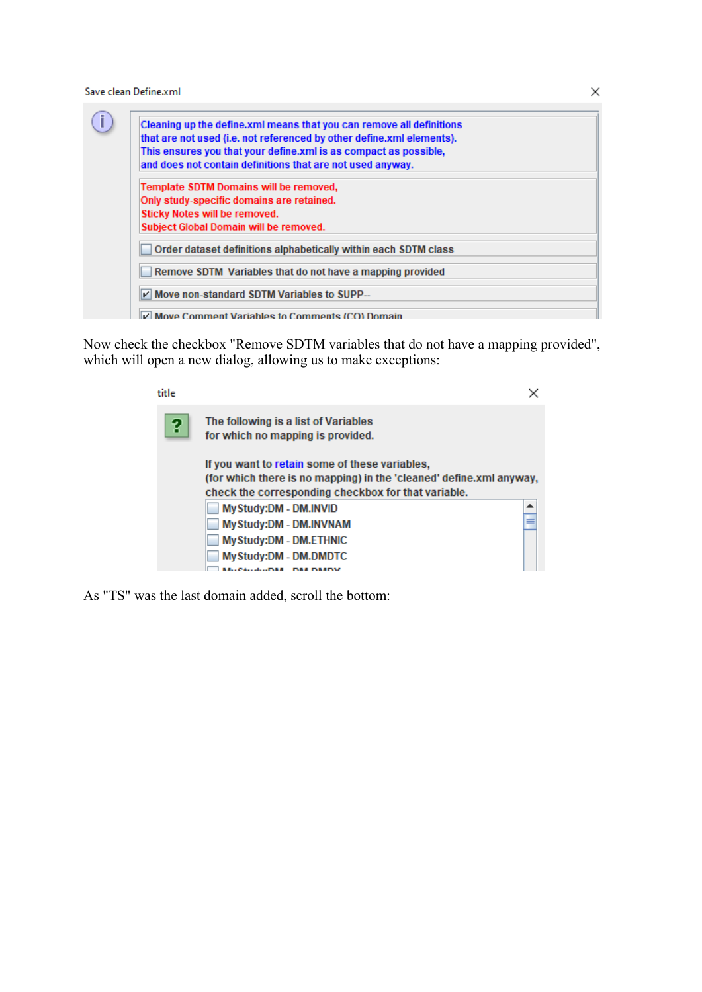Save clean Define.xml

|                               | Cleaning up the define.xml means that you can remove all definitions  |
|-------------------------------|-----------------------------------------------------------------------|
|                               | that are not used (i.e. not referenced by other define.xml elements). |
|                               | This ensures you that your define.xml is as compact as possible,      |
|                               | and does not contain definitions that are not used anyway.            |
|                               | Template SDTM Domains will be removed,                                |
|                               | Only study-specific domains are retained.                             |
| Sticky Notes will be removed. |                                                                       |
|                               | Subject Global Domain will be removed.                                |
|                               | Order dataset definitions alphabetically within each SDTM class       |
|                               | Remove SDTM Variables that do not have a mapping provided             |
|                               | Move non-standard SDTM Variables to SUPP--                            |

Now check the checkbox "Remove SDTM variables that do not have a mapping provided", which will open a new dialog, allowing us to make exceptions:

| title |                                                                                                                                                                              |   |
|-------|------------------------------------------------------------------------------------------------------------------------------------------------------------------------------|---|
| ?     | The following is a list of Variables<br>for which no mapping is provided.                                                                                                    |   |
|       | If you want to retain some of these variables,<br>(for which there is no mapping) in the 'cleaned' define.xml anyway,<br>check the corresponding checkbox for that variable. |   |
|       | My Study:DM - DM.INVID                                                                                                                                                       | ┻ |
|       | My Study:DM - DM.INVNAM<br>My Study:DM - DM.ETHNIC                                                                                                                           |   |
|       | My Study:DM - DM.DMDTC<br>. <b>.</b>                                                                                                                                         |   |

As "TS" was the last domain added, scroll the bottom:

 $\times$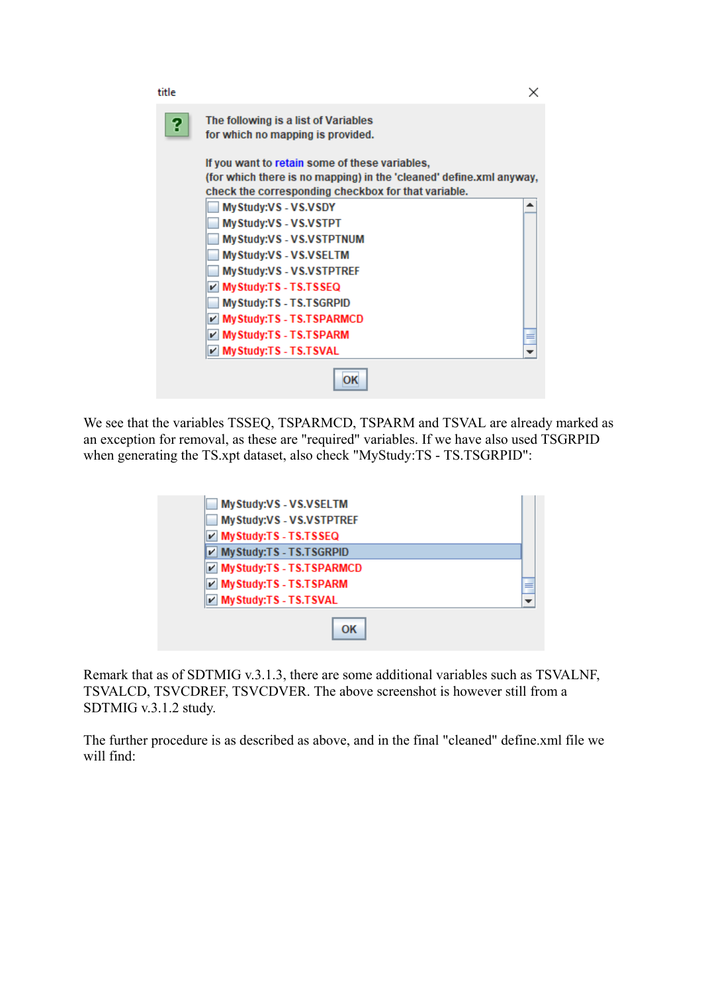| title |                                                                           |   |
|-------|---------------------------------------------------------------------------|---|
| 2     | The following is a list of Variables<br>for which no mapping is provided. |   |
|       | If you want to retain some of these variables,                            |   |
|       | (for which there is no mapping) in the 'cleaned' define.xml anyway,       |   |
|       | check the corresponding checkbox for that variable.                       |   |
|       | MyStudy:VS - VS.VSDY                                                      | ▴ |
|       | MyStudy:VS - VS.VSTPT                                                     |   |
|       | My Study: VS - VS.VSTPTNUM                                                |   |
|       | MyStudy:VS - VS.VSELTM                                                    |   |
|       | My Study: VS - VS. VSTPTREF                                               |   |
|       | <b>∠ My Study:TS - TS.TSSEQ</b>                                           |   |
|       | My Study: TS - TS. TSGRPID                                                |   |
|       | My Study:TS - TS.TSPARMCD                                                 |   |
|       | My Study:TS - TS.TSPARM                                                   |   |
|       | My Study: TS - TS. TSVAL                                                  |   |
|       |                                                                           |   |

We see that the variables TSSEQ, TSPARMCD, TSPARM and TSVAL are already marked as an exception for removal, as these are "required" variables. If we have also used TSGRPID when generating the TS.xpt dataset, also check "MyStudy:TS - TS.TSGRPID":

| My Study:VS - VS.VSELTM      |   |
|------------------------------|---|
| MyStudy:VS - VS.VSTPTREF     |   |
| My Study: TS - TS. TSSEQ     |   |
| V My Study: TS - TS. TSGRPID |   |
| MyStudy:TS - TS.TSPARMCD     |   |
| My Study:TS - TS.TSPARM      | ≡ |
| My Study: TS - TS. TSVAL     |   |
| ΩK                           |   |

Remark that as of SDTMIG v.3.1.3, there are some additional variables such as TSVALNF, TSVALCD, TSVCDREF, TSVCDVER. The above screenshot is however still from a SDTMIG v.3.1.2 study.

The further procedure is as described as above, and in the final "cleaned" define.xml file we will find: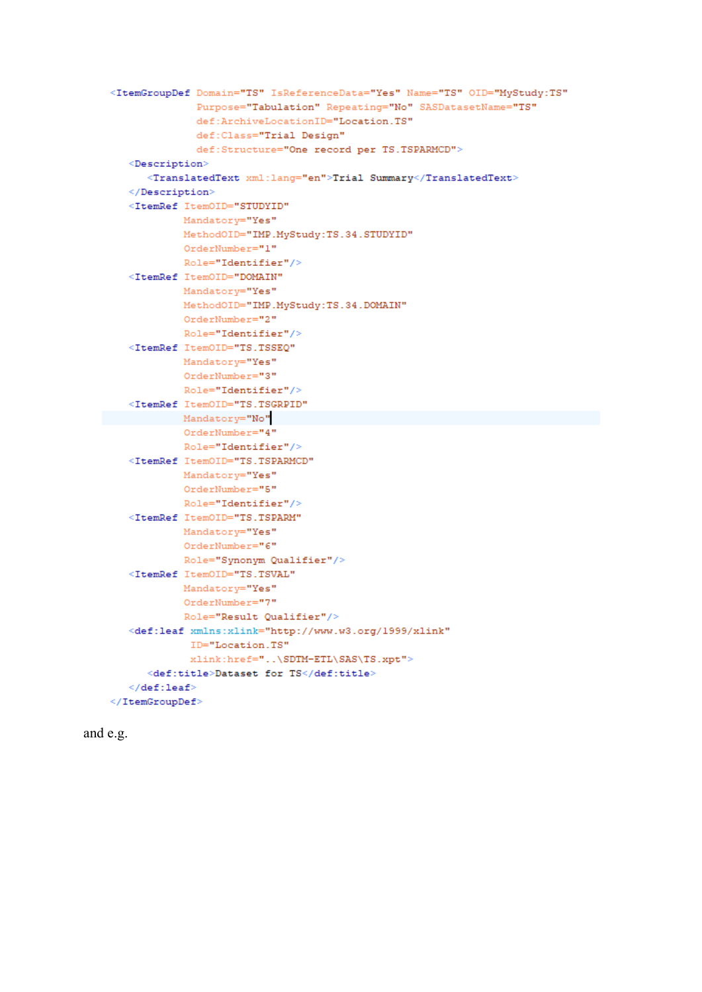```
<ItemGroupDef Domain="TS" IsReferenceData="Yes" Name="TS" OID="MyStudy:TS"
             Purpose="Tabulation" Repeating="No" SASDatasetName="TS"
             def:ArchiveLocationID="Location.TS"
             def:Class="Trial Design"
             def:Structure="One record per TS.TSPARMCD">
  <Description>
     <TranslatedText xml:lang="en">Trial Summary</TranslatedText>
   </Description>
   <ItemRef ItemOID="STUDYID"
           Mandatory="Yes"
           MethodOID="IMP.MyStudy:TS.34.STUDYID"
           OrderNumber="1"Role="Identifier"/>
  <ItemRef ItemOID="DOMAIN"
           Mandatory="Yes"
           MethodOID="IMP.MyStudy:TS.34.DOMAIN"
           OrderNumber="2"
           Role="Identifier"/>
  <ItemRef ItemOID="TS.TSSEQ"
           Mandatory="Yes"
           OrderNumber="3"
           Role="Identifier"/>
  <ItemRef ItemOID="TS.TSGRPID"
         Mandatory="No"
           OrderNumber="4"Role="Identifier"/>
  <ItemRef ItemOID="TS.TSPARMCD"
           Mandatory="Yes"
           OrderNumber="5"Role="Identifier"/>
  <ItemRef ItemOID="TS.TSPARM"
           Mandatory="Yes"
           OrderNumber="6"
           Role="Synonym Qualifier"/>
   <ItemRef ItemOID="TS.TSVAL"
           Mandatory="Yes"
           OrderNumber="7"
           Role="Result Qualifier"/>
   <def:leaf xmlns:xlink="http://www.w3.org/1999/xlink"
            ID="Location.TS"
            xlink:href="..\SDTM-ETL\SAS\TS.xpt">
     \ledef:title>Dataset for TS</def:title>
   \leq/def:leaf>
</ItemGroupDef>
```
and e.g.